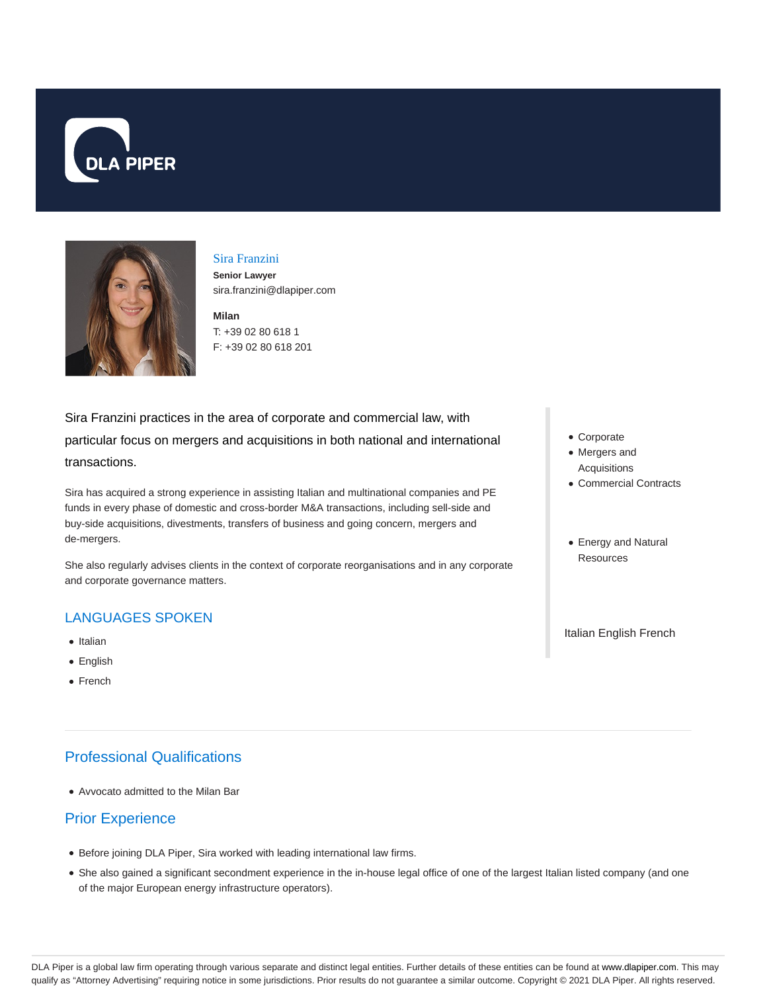



#### Sira Franzini

**Senior Lawyer** sira.franzini@dlapiper.com

**Milan** T: +39 02 80 618 1 F: +39 02 80 618 201

Sira Franzini practices in the area of corporate and commercial law, with particular focus on mergers and acquisitions in both national and international transactions.

Sira has acquired a strong experience in assisting Italian and multinational companies and PE funds in every phase of domestic and cross-border M&A transactions, including sell-side and buy-side acquisitions, divestments, transfers of business and going concern, mergers and de-mergers.

She also regularly advises clients in the context of corporate reorganisations and in any corporate and corporate governance matters.

### LANGUAGES SPOKEN

- Italian
- English
- French

# Professional Qualifications

Avvocato admitted to the Milan Bar

## Prior Experience

- Before joining DLA Piper, Sira worked with leading international law firms.
- She also gained a significant secondment experience in the in-house legal office of one of the largest Italian listed company (and one of the major European energy infrastructure operators).
- Corporate
- Mergers and Acquisitions
- Commercial Contracts
- Energy and Natural **Resources**

Italian English French